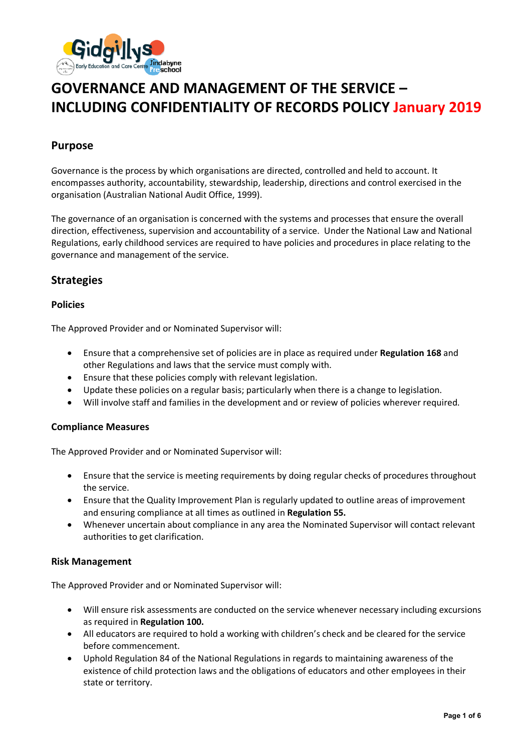

# **GOVERNANCE AND MANAGEMENT OF THE SERVICE – INCLUDING CONFIDENTIALITY OF RECORDS POLICY January 2019**

# **Purpose**

Governance is the process by which organisations are directed, controlled and held to account. It encompasses authority, accountability, stewardship, leadership, directions and control exercised in the organisation (Australian National Audit Office, 1999).

The governance of an organisation is concerned with the systems and processes that ensure the overall direction, effectiveness, supervision and accountability of a service. Under the National Law and National Regulations, early childhood services are required to have policies and procedures in place relating to the governance and management of the service.

# **Strategies**

## **Policies**

The Approved Provider and or Nominated Supervisor will:

- Ensure that a comprehensive set of policies are in place as required under **Regulation 168** and other Regulations and laws that the service must comply with.
- Ensure that these policies comply with relevant legislation.
- Update these policies on a regular basis; particularly when there is a change to legislation.
- Will involve staff and families in the development and or review of policies wherever required.

## **Compliance Measures**

The Approved Provider and or Nominated Supervisor will:

- Ensure that the service is meeting requirements by doing regular checks of procedures throughout the service.
- Ensure that the Quality Improvement Plan is regularly updated to outline areas of improvement and ensuring compliance at all times as outlined in **Regulation 55.**
- Whenever uncertain about compliance in any area the Nominated Supervisor will contact relevant authorities to get clarification.

#### **Risk Management**

The Approved Provider and or Nominated Supervisor will:

- Will ensure risk assessments are conducted on the service whenever necessary including excursions as required in **Regulation 100.**
- All educators are required to hold a working with children's check and be cleared for the service before commencement.
- Uphold Regulation 84 of the National Regulations in regards to maintaining awareness of the existence of child protection laws and the obligations of educators and other employees in their state or territory.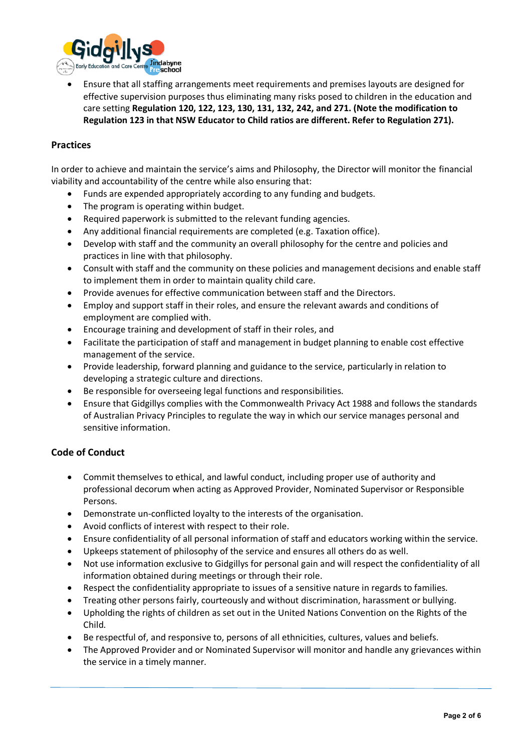

• Ensure that all staffing arrangements meet requirements and premises layouts are designed for effective supervision purposes thus eliminating many risks posed to children in the education and care setting **Regulation 120, 122, 123, 130, 131, 132, 242, and 271. (Note the modification to Regulation 123 in that NSW Educator to Child ratios are different. Refer to Regulation 271).** 

#### **Practices**

In order to achieve and maintain the service's aims and Philosophy, the Director will monitor the financial viability and accountability of the centre while also ensuring that:

- Funds are expended appropriately according to any funding and budgets.
- The program is operating within budget.
- Required paperwork is submitted to the relevant funding agencies.
- Any additional financial requirements are completed (e.g. Taxation office).
- Develop with staff and the community an overall philosophy for the centre and policies and practices in line with that philosophy.
- Consult with staff and the community on these policies and management decisions and enable staff to implement them in order to maintain quality child care.
- Provide avenues for effective communication between staff and the Directors.
- Employ and support staff in their roles, and ensure the relevant awards and conditions of employment are complied with.
- Encourage training and development of staff in their roles, and
- Facilitate the participation of staff and management in budget planning to enable cost effective management of the service.
- Provide leadership, forward planning and guidance to the service, particularly in relation to developing a strategic culture and directions.
- Be responsible for overseeing legal functions and responsibilities.
- Ensure that Gidgillys complies with the Commonwealth Privacy Act 1988 and follows the standards of Australian Privacy Principles to regulate the way in which our service manages personal and sensitive information.

## **Code of Conduct**

- Commit themselves to ethical, and lawful conduct, including proper use of authority and professional decorum when acting as Approved Provider, Nominated Supervisor or Responsible Persons.
- Demonstrate un-conflicted loyalty to the interests of the organisation.
- Avoid conflicts of interest with respect to their role.
- Ensure confidentiality of all personal information of staff and educators working within the service.
- Upkeeps statement of philosophy of the service and ensures all others do as well.
- Not use information exclusive to Gidgillys for personal gain and will respect the confidentiality of all information obtained during meetings or through their role.
- Respect the confidentiality appropriate to issues of a sensitive nature in regards to families.
- Treating other persons fairly, courteously and without discrimination, harassment or bullying.
- Upholding the rights of children as set out in the United Nations Convention on the Rights of the Child.
- Be respectful of, and responsive to, persons of all ethnicities, cultures, values and beliefs.
- The Approved Provider and or Nominated Supervisor will monitor and handle any grievances within the service in a timely manner.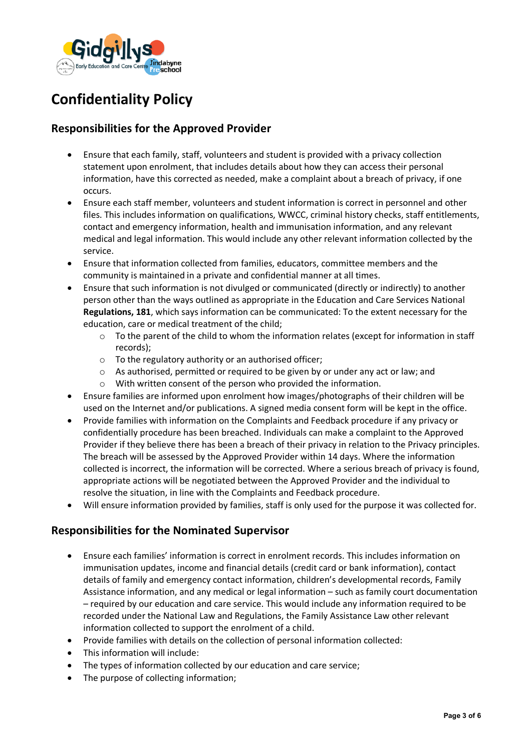

# **Confidentiality Policy**

# **Responsibilities for the Approved Provider**

- Ensure that each family, staff, volunteers and student is provided with a privacy collection statement upon enrolment, that includes details about how they can access their personal information, have this corrected as needed, make a complaint about a breach of privacy, if one occurs.
- Ensure each staff member, volunteers and student information is correct in personnel and other files. This includes information on qualifications, WWCC, criminal history checks, staff entitlements, contact and emergency information, health and immunisation information, and any relevant medical and legal information. This would include any other relevant information collected by the service.
- Ensure that information collected from families, educators, committee members and the community is maintained in a private and confidential manner at all times.
- Ensure that such information is not divulged or communicated (directly or indirectly) to another person other than the ways outlined as appropriate in the Education and Care Services National **Regulations, 181**, which says information can be communicated: To the extent necessary for the education, care or medical treatment of the child;
	- o To the parent of the child to whom the information relates (except for information in staff records);
	- $\circ$  To the regulatory authority or an authorised officer;
	- o As authorised, permitted or required to be given by or under any act or law; and
	- o With written consent of the person who provided the information.
- Ensure families are informed upon enrolment how images/photographs of their children will be used on the Internet and/or publications. A signed media consent form will be kept in the office.
- Provide families with information on the Complaints and Feedback procedure if any privacy or confidentially procedure has been breached. Individuals can make a complaint to the Approved Provider if they believe there has been a breach of their privacy in relation to the Privacy principles. The breach will be assessed by the Approved Provider within 14 days. Where the information collected is incorrect, the information will be corrected. Where a serious breach of privacy is found, appropriate actions will be negotiated between the Approved Provider and the individual to resolve the situation, in line with the Complaints and Feedback procedure.
- Will ensure information provided by families, staff is only used for the purpose it was collected for.

# **Responsibilities for the Nominated Supervisor**

- Ensure each families' information is correct in enrolment records. This includes information on immunisation updates, income and financial details (credit card or bank information), contact details of family and emergency contact information, children's developmental records, Family Assistance information, and any medical or legal information – such as family court documentation – required by our education and care service. This would include any information required to be recorded under the National Law and Regulations, the Family Assistance Law other relevant information collected to support the enrolment of a child.
- Provide families with details on the collection of personal information collected:
- This information will include:
- The types of information collected by our education and care service;
- The purpose of collecting information;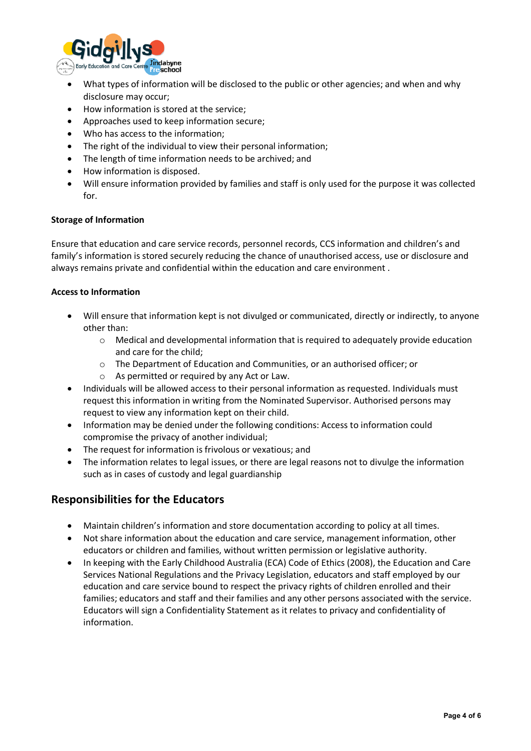

- What types of information will be disclosed to the public or other agencies; and when and why disclosure may occur;
- How information is stored at the service;
- Approaches used to keep information secure;
- Who has access to the information;
- The right of the individual to view their personal information;
- The length of time information needs to be archived; and
- How information is disposed.
- Will ensure information provided by families and staff is only used for the purpose it was collected for.

#### **Storage of Information**

Ensure that education and care service records, personnel records, CCS information and children's and family's information is stored securely reducing the chance of unauthorised access, use or disclosure and always remains private and confidential within the education and care environment .

#### **Access to Information**

- Will ensure that information kept is not divulged or communicated, directly or indirectly, to anyone other than:
	- $\circ$  Medical and developmental information that is required to adequately provide education and care for the child;
	- o The Department of Education and Communities, or an authorised officer; or
	- o As permitted or required by any Act or Law.
- Individuals will be allowed access to their personal information as requested. Individuals must request this information in writing from the Nominated Supervisor. Authorised persons may request to view any information kept on their child.
- Information may be denied under the following conditions: Access to information could compromise the privacy of another individual;
- The request for information is frivolous or vexatious; and
- The information relates to legal issues, or there are legal reasons not to divulge the information such as in cases of custody and legal guardianship

## **Responsibilities for the Educators**

- Maintain children's information and store documentation according to policy at all times.
- Not share information about the education and care service, management information, other educators or children and families, without written permission or legislative authority.
- In keeping with the Early Childhood Australia (ECA) Code of Ethics (2008), the Education and Care Services National Regulations and the Privacy Legislation, educators and staff employed by our education and care service bound to respect the privacy rights of children enrolled and their families; educators and staff and their families and any other persons associated with the service. Educators will sign a Confidentiality Statement as it relates to privacy and confidentiality of information.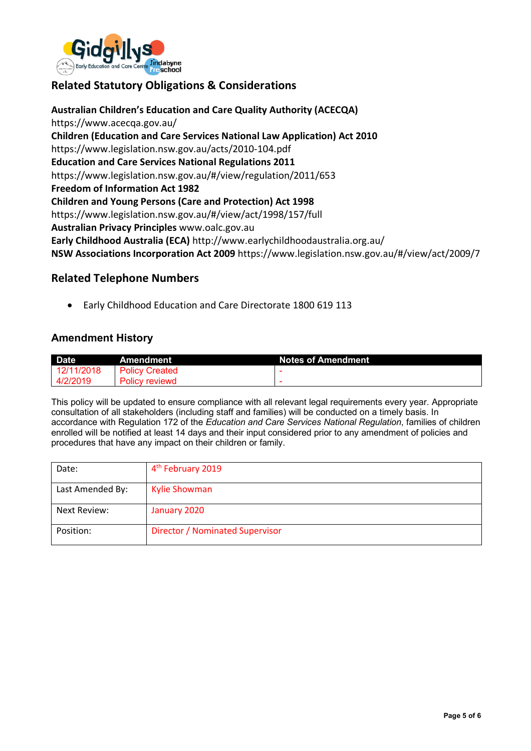

# **Related Statutory Obligations & Considerations**

**Australian Children's Education and Care Quality Authority (ACECQA)** https://www.acecqa.gov.au/ **Children (Education and Care Services National Law Application) Act 2010** https://www.legislation.nsw.gov.au/acts/2010-104.pdf **Education and Care Services National Regulations 2011** https://www.legislation.nsw.gov.au/#/view/regulation/2011/653 **Freedom of Information Act 1982 Children and Young Persons (Care and Protection) Act 1998** https://www.legislation.nsw.gov.au/#/view/act/1998/157/full **Australian Privacy Principles** www.oalc.gov.au **Early Childhood Australia (ECA)** http://www.earlychildhoodaustralia.org.au/ **NSW Associations Incorporation Act 2009** https://www.legislation.nsw.gov.au/#/view/act/2009/7

## **Related Telephone Numbers**

• Early Childhood Education and Care Directorate 1800 619 113

## **Amendment History**

| <b>Date</b> | Amendment             | <b>Notes of Amendment</b> |
|-------------|-----------------------|---------------------------|
| 12/11/2018  | <b>Policy Created</b> |                           |
| 4/2/2019    | <b>Policy reviewd</b> |                           |

This policy will be updated to ensure compliance with all relevant legal requirements every year. Appropriate consultation of all stakeholders (including staff and families) will be conducted on a timely basis. In accordance with Regulation 172 of the *Education and Care Services National Regulation*, families of children enrolled will be notified at least 14 days and their input considered prior to any amendment of policies and procedures that have any impact on their children or family.

| Date:            | 4 <sup>th</sup> February 2019          |
|------------------|----------------------------------------|
| Last Amended By: | <b>Kylie Showman</b>                   |
| Next Review:     | January 2020                           |
| Position:        | <b>Director / Nominated Supervisor</b> |